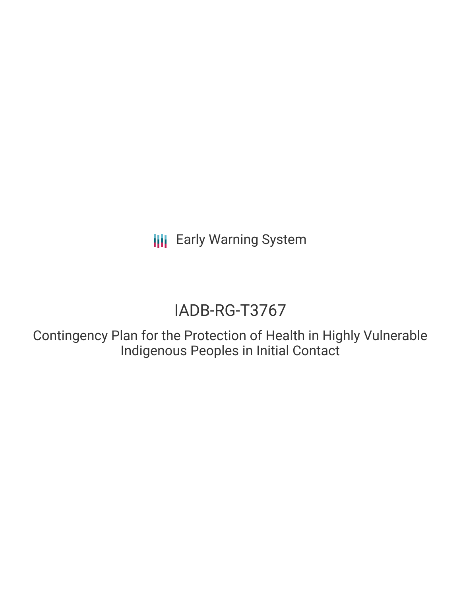**III** Early Warning System

# IADB-RG-T3767

Contingency Plan for the Protection of Health in Highly Vulnerable Indigenous Peoples in Initial Contact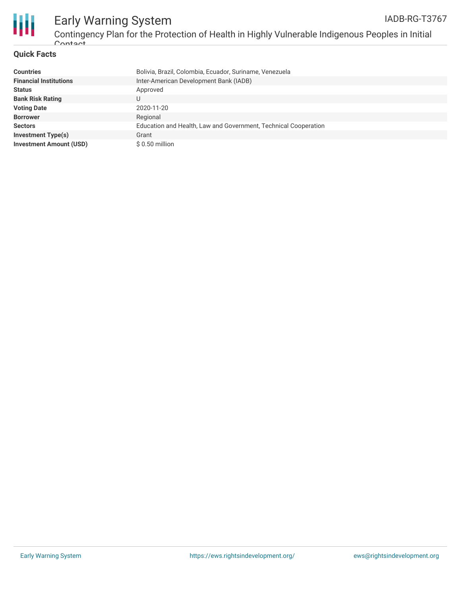

#### **Quick Facts**

| <b>Countries</b>               | Bolivia, Brazil, Colombia, Ecuador, Suriname, Venezuela         |
|--------------------------------|-----------------------------------------------------------------|
| <b>Financial Institutions</b>  | Inter-American Development Bank (IADB)                          |
| <b>Status</b>                  | Approved                                                        |
| <b>Bank Risk Rating</b>        | U                                                               |
| <b>Voting Date</b>             | 2020-11-20                                                      |
| <b>Borrower</b>                | Regional                                                        |
| <b>Sectors</b>                 | Education and Health, Law and Government, Technical Cooperation |
| <b>Investment Type(s)</b>      | Grant                                                           |
| <b>Investment Amount (USD)</b> | \$ 0.50 million                                                 |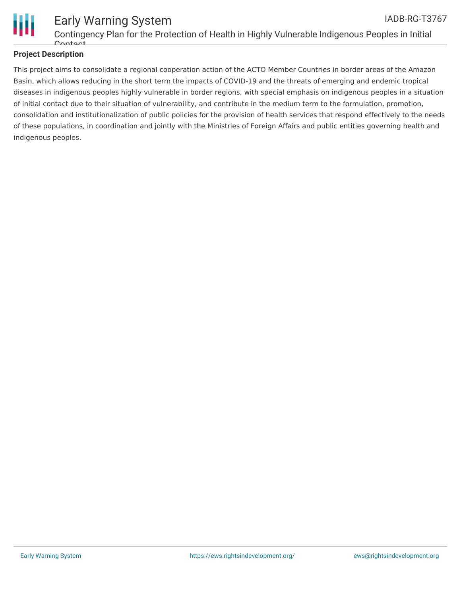

#### Early Warning System Contingency Plan for the Protection of Health in Highly Vulnerable Indigenous Peoples in Initial Contact IADB-RG-T3767

### **Project Description**

This project aims to consolidate a regional cooperation action of the ACTO Member Countries in border areas of the Amazon Basin, which allows reducing in the short term the impacts of COVID-19 and the threats of emerging and endemic tropical diseases in indigenous peoples highly vulnerable in border regions, with special emphasis on indigenous peoples in a situation of initial contact due to their situation of vulnerability, and contribute in the medium term to the formulation, promotion, consolidation and institutionalization of public policies for the provision of health services that respond effectively to the needs of these populations, in coordination and jointly with the Ministries of Foreign Affairs and public entities governing health and indigenous peoples.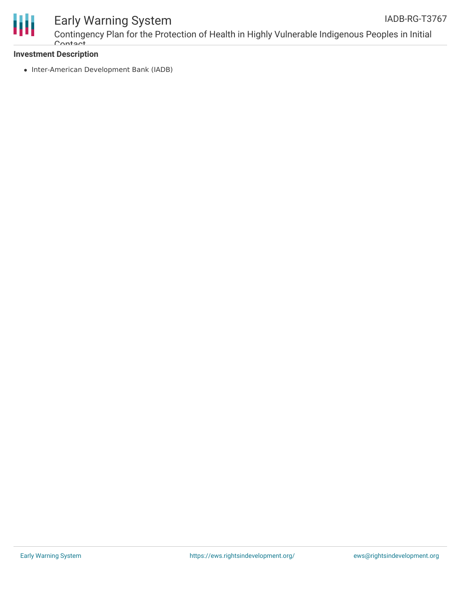

## Early Warning System

Contingency Plan for the Protection of Health in Highly Vulnerable Indigenous Peoples in Initial Contact IADB-RG-T3767

#### **Investment Description**

• Inter-American Development Bank (IADB)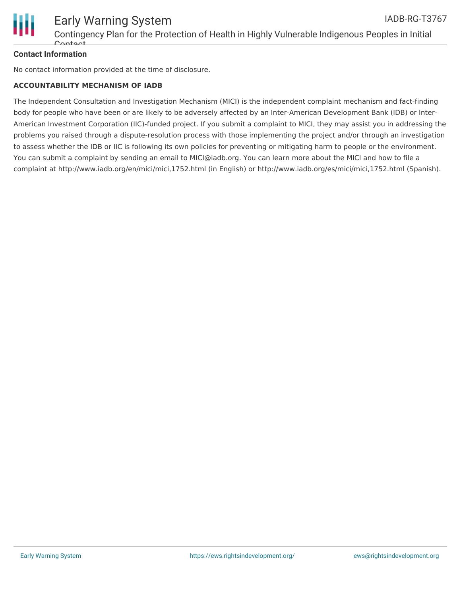

#### **Contact Information**

No contact information provided at the time of disclosure.

#### **ACCOUNTABILITY MECHANISM OF IADB**

The Independent Consultation and Investigation Mechanism (MICI) is the independent complaint mechanism and fact-finding body for people who have been or are likely to be adversely affected by an Inter-American Development Bank (IDB) or Inter-American Investment Corporation (IIC)-funded project. If you submit a complaint to MICI, they may assist you in addressing the problems you raised through a dispute-resolution process with those implementing the project and/or through an investigation to assess whether the IDB or IIC is following its own policies for preventing or mitigating harm to people or the environment. You can submit a complaint by sending an email to MICI@iadb.org. You can learn more about the MICI and how to file a complaint at http://www.iadb.org/en/mici/mici,1752.html (in English) or http://www.iadb.org/es/mici/mici,1752.html (Spanish).